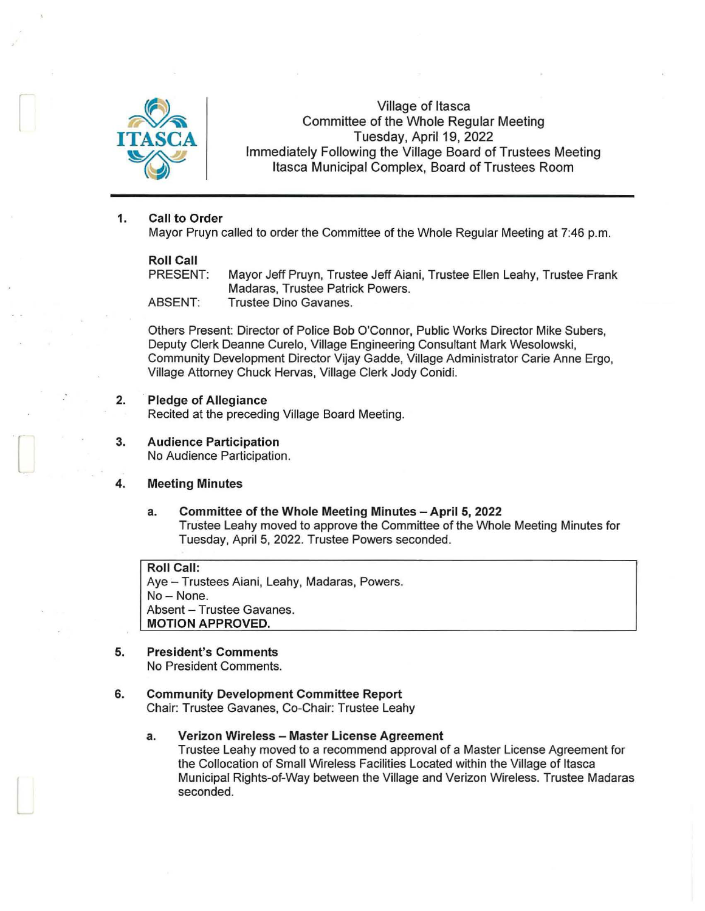

Village of Itasca Committee of the Whole Regular Meeting Tuesday, April 19, 2022 Immediately Following the Village Board of Trustees Meeting Itasca Municipal Complex, Board of Trustees Room

#### 1. Call to Order

Mayor Pruyn called to order the Committee of the Whole Regular Meeting at 7:46 p.m.

**Roll Call**<br>PRESENT: Mayor Jeff Pruyn, Trustee Jeff Aiani, Trustee Ellen Leahy, Trustee Frank Madaras, Trustee Patrick Powers. ABSENT: Trustee Dino Gavanes.

Others Present: Director of Police Bob O'Connor, Public Works Director Mike Subers, Deputy Clerk Deanne Curelo, Village Engineering Consultant Mark Wesolowski, Community Development Director Vijay Gadde, Village Administrator Carie Anne Ergo, Village Attorney Chuck Hervas, Village Clerk Jody Conidi.

#### 2. Pledge of Allegiance

Recited at the preceding Village Board Meeting.

3. Audience Participation No Audience Participation.

#### 4. Meeting Minutes

a. Committee of the Whole Meeting Minutes - April 5, 2022 Trustee Leahy moved to approve the Committee of the Whole Meeting Minutes for Tuesday, April 5, 2022. Trustee Powers seconded.

Roll Call: Aye - Trustees Aiani, Leahy, Madaras, Powers. No-None. Absent - Trustee Gavanes. MOTION APPROVED.

## 5. President's Comments

 $\Box$ 

No President Comments.

# 6. Community Development Committee Report

Chair: Trustee Gavanes, Co-Chair: Trustee Leahy

#### a. Verizon Wireless - Master License Agreement

Trustee Leahy moved to a recommend approval of a Master License Agreement for the Collocation of Small Wireless Facilities Located within the Village of Itasca Municipal Rights-of-Way between the Village and Verizon Wireless. Trustee Madaras seconded.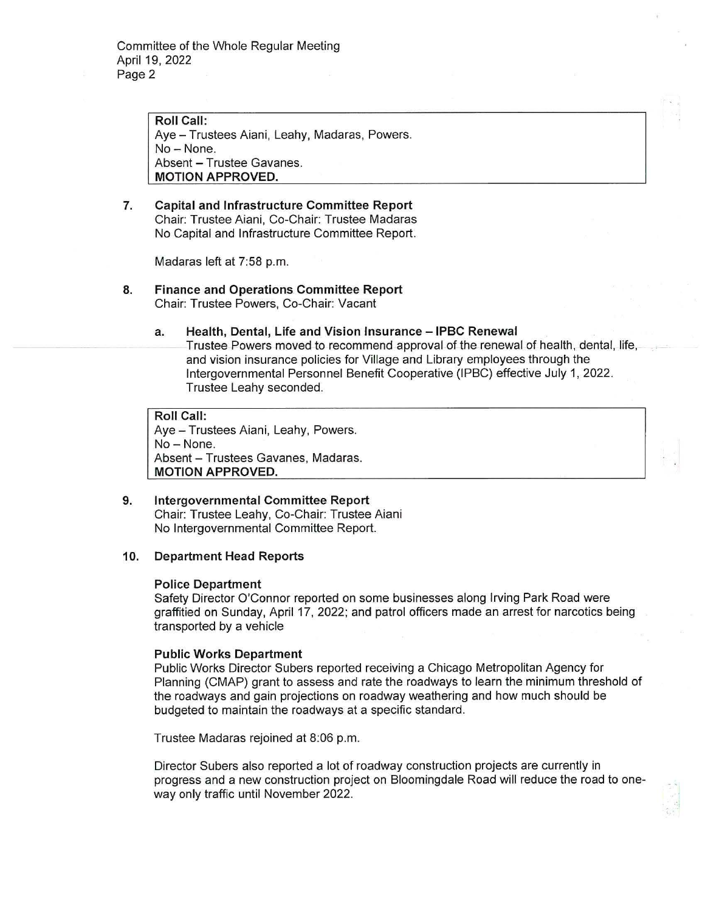**Roll Call:**  Aye - Trustees Aiani, Leahy, Madaras, Powers. No-None. Absent - Trustee Gavanes. **MOTION APPROVED.** 

# **7. Capital and Infrastructure Committee Report**  Chair: Trustee Aiani, Co-Chair: Trustee Madaras No Capital and Infrastructure Committee Report.

Madaras left at 7:58 p.m.

**8. Finance and Operations Committee Report**  Chair: Trustee Powers, Co-Chair: Vacant

#### **a. Health, Dental, Life and Vision Insurance - IPBC Renewal**

Trustee Powers moved to recommend approval of the renewal of health, dental, life, and vision insurance policies for Village and Library employees through the Intergovernmental Personnel Benefit Cooperative (IPBC) effective July 1, 2022. Trustee Leahy seconded.

**Roll Call:**  Aye - Trustees Aiani, Leahy, Powers. No - None. Absent - Trustees Gavanes, Madaras. **MOTION APPROVED.** 

**9. Intergovernmental Committee Report**  Chair: Trustee Leahy, Co-Chair: Trustee Aiani No Intergovernmental Committee Report.

## **10. Department Head Reports**

## **Police Department**

Safety Director O'Connor reported on some businesses along Irving Park Road were graffitied on Sunday, April 17, 2022; and patrol officers made an arrest for narcotics being transported by a vehicle

## **Public Works Department**

Public Works Director Subers reported receiving a Chicago Metropolitan Agency for Planning (CMAP) grant to assess and rate the roadways to learn the minimum threshold of the roadways and gain projections on roadway weathering and how much should be budgeted to maintain the roadways at a specific standard.

Trustee Madaras rejoined at 8:06 p.m.

Director Subers also reported a lot of roadway construction projects are currently in progress and a new construction project on Bloomingdale Road will reduce the road to oneway only traffic until November 2022.